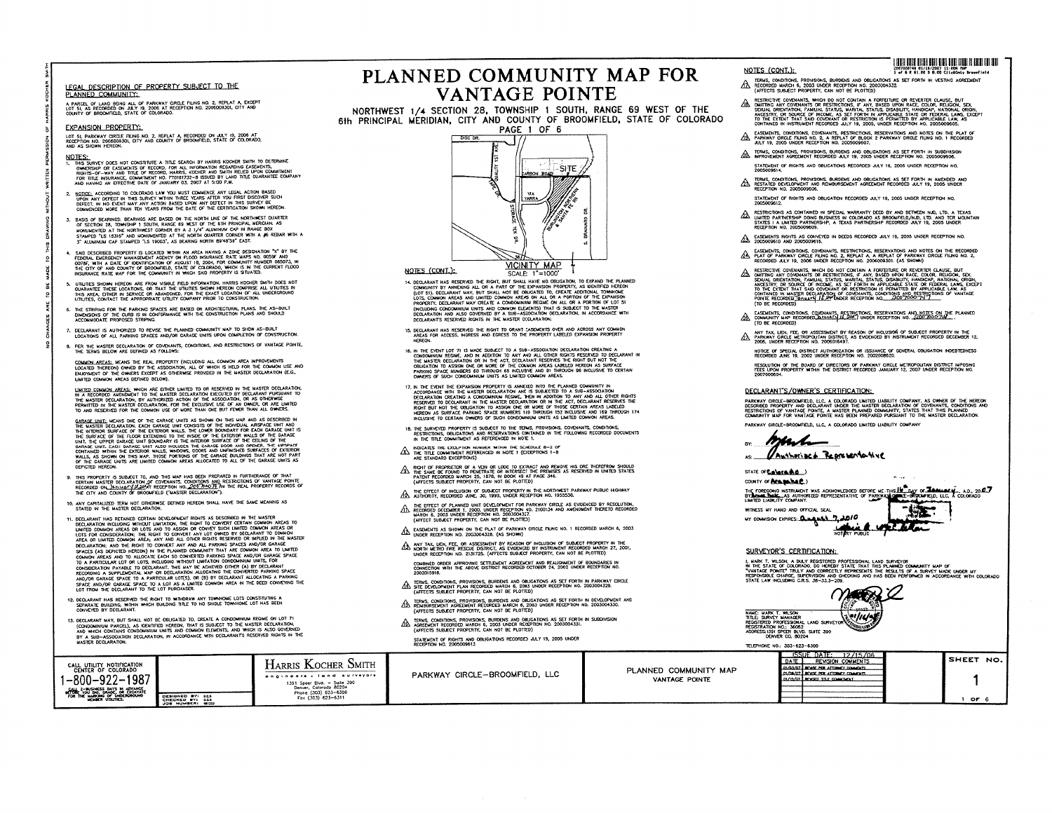#### AL DESCRIPTION OF PROPERTY SUBJECT TO THE **PLANNED COMMUNITY:**

<u>inned Community.</u><br>rice of land being all of parkway crele films no. 2, replat a except<br>51, as recorded on JULY 19, 2008 at reception no. 2006003301, city and<br>ity of broompeld, state of colorado.

# **IN THE 8, WE TO WITH TO WITH A SEPARATE 800000 APPROPERTY:**

CONT SI, PARKWAY CREATE FILMIG NO. 2, REPLAT A RECORDED ON JULY 19, 2006 AT<br>
REGENTION NO. 200600939JO, CITY AND COUNTY OF BROOMPIED, STATE OF COLORADO,<br>
HAD AS ENDOWN MEDICING COUNTY OF BROOMPIED, STATE OF COLORADO, **13.**<br>**13.** AS SHOWN HEREON,

- 
- AS SHOWN HEREOR.<br>HESE SUMPLY DOCS NOT CONSTITUTE A TITLE SEARCH BY HARRIS KOCHER SWITH TO DETERMINE<br>MANPORSE OF FASTAFATS OF RECORD, FOR ALL INFORMATION RECARDING EASEMENTS.

**-MT TO COMMON AREA OR UNITED COMMON AREA: AN Y AND ALL OTHER RIGHTS RESERVED OR NPIMD IN THE NASIER**

- 
- 3. BASIS OF BEARINGS: BEARINGS ARE BASED ON THE NORTH UNE OF THE NORTHWEST QUARTER
- SAND DESCRIBED PROPERTY IS LOCATED WITHIN AN AREA HAVING A ZONE DESIGNATION "X" BY THE<br>FEDERIAL DILERCENCY MANAGEMENT ACENCY ON FLOOD WISPANIE RATE MAYS NO. 00596 AND<br>0078F, WITH A DATE OF IDENTRICATION OF AUGUST 18, 2004,
- and the stock that the transmission in the unit of the stock of the unit does not culture shown here on the transmission in the unit of the unit of the unit of the unit of the unit of the unit of the unit of the unit of th
- THE STRIPING FOR THE PARKING SPACES ARE BASED ON ARCHITECTURAL PLANS, THE AS-BUILT<br>DINENSONS OF THE CURB IS IN CONFORMANCE WITH THE CONSTRUCTION PLANS AND SHOULD<br>ACCOMMODATE PROPOSED STRIPING.
- DECLARANT IS AUTHORIZED TO REVISE THE PLANNED COMMUNITY MAP TO SHOW AS-BUILT<br>LOCATIONS OF ALL PARKING SPACES AND/OR GARAGE UNITS UPON COMPLETION OF CONSTRUCTION.
- 8. PER THE MASTER DECLARATION OF COVENANTS, CONDITIONS, AND RESTRICTIONS OF VANTAGE POINTE.

The Terms below are defined as follows:<br><u>Coanch Jepess</u>, Means the Real Property (including all common area improvements<br>Located Thereon) owned by the association, all of which is held for the common use and<br>Enocyment of t

L<u>imited Common Joelas,</u> which are either limited to or reserved in the master declaration,<br>in a recorded ansivalingt to the master declaration executed by declarant puresuant to<br>the master declaration, by authorized actio

TO AND INSTITUTE USING THE CHARGE UNITS AS SHOWN ON THIS MAP AND AS DESCRIBED IN THE WARRANT DESCLARATION. EACH CHARGE UNITS ASSISTING TO THE CHARGE UNITS AND THE UNITS OF THE USER OF THE CHARGE UNITS OF THE CHARGE UNITS O DEFICTED HEREON.

g. This property is subject to, and this map has been prepared in furtherance of that<br>certain master declaration of covenants, conditions and restrictions of vantage pointe<br>recorded on <u>UR-tabl<sup>a</sup> (F.29</u>94) reception no <u>C</u>

10, ANY CAPITALIZED TERM NOT OTHERWISE DEFINED HEREON SHALL HAVE THE SAME MEANING AS<br>STATED IN THE MASTER DECLARATION.

- 31 NORTH AND CRIMINAL DEVICE PROTHER RIGHTS AS DESCRIBED IN THE MASTER IT. DECLARANT HAS RETAINED CERTAIN DEVELOPMENT RIGHTS AS DESCRIBED IN THE MASTER DESCRIPTION WITHOUT COMMON AREAS OR LOTS AND TO ASSIGN OR CONFER SHOT TO A PARTICULAR LOT OR LOTS, MICLOURIC MINIOR TUMITATION CONSOMINGING INTER FOR CONSIDERATION PAYABLE TO DECURRANT THIS MAY BE ACHEKED ED THER (A) BY DECURRANT ACCORDING A SUPPLEMENTAL PARTICULAR LOTS, OR (B) BY DECURRANT
- LOT FROM THE DECLARANT TO THE LOT PURCHASER.<br>SEPARANT HAS RESERVED THE RIGHT TO WITHDRAW ANY TOWNHOME LOTS CONSTITUTING A<br>SEPARANT BUILDING, WITHIN WHICH BUILDING TITLE TO NO SINGLE TOWNHOME LOT HAS BEEN<br>CONVEYED BY DECLAR
- 13, DECLARANT MAY, BUT SHALL NOT BE OBLIGATED TO, CREATE A CONDOMINION REGINE ON LOT 71<br>(CONDOMINIUM PARCEL), AS DENTIFIED HEREON, THAT IS SUBJECT TO THE MASTER DECLARATION,<br>(AVD WHICH CONTAINS CONDOMINIUM UNITS AND COMMON

# NED COMMUNITY MA **ZWANTAGE POINTE**

**06061 RECEPTOR NO. 20034432& (55 SHOWN)**

**14 SECTION 28, TOWNSHIP 1 SOUTH, RANGE ERIDIAN, CITY AND COUNTY OF BROOMFIELD, S** 



- 14. DECLARANT HAS RESERVED THE RIGHT, BUT SHALL HAVE NO OBJUSATION, TO EXPAND THE PLANNED COMMUNITY BY ANNOWARD ALL ON A PART OF THE EXPANSION ACCORDINATION FREE COMPARING THE STANDARD COMPARING THE STANDARD AND INTERFACT DECLARATION AND ALSO CONSINUES IN THE MASTER DECLARATION.
- 15. DECLARANT HAS RESERVED THE RIGHT TO GRANT EASEMENTS OVER AND ACROSS ANY COMMON<br>AREAS FOR ACCESS, INGRESS AND EGRESS TO THE PROPERTY LABELED EXPANSION PROPERTY
- THE WIND CONDUCT THE MADE SUBJECT TO A SUB-ASSOCIATION DECLARATION CREATING A CHARGE AND THE EVENT EXPLANE TO THE COMMON RESULT IN CONDUCTING THE COMMON RESULT IN THE COMMON RESULT IN THE COMMON RESULT IN THE COMMON RESULT
- 17. In the event the expansion property is annexed into the planned community in . A superformation of the master recursation and is superformation to a superformation to a condition to a change the recursation of a change
- 18. THE SURVEYED PROPERTY IS SUBJECT TO THE TERMS, PROVISIONS, COVENANTS, CONDITIONS, RESTRICTIONS, ORDINAL RESTRICTIONS, RESERVATIONS, CONDITIONS, AND RESERVATIONS, CONDITIONS OF THE COLLOWING RECORDED DOCUMENTS.
- MOICATES THE EXCEPTION NUMBER WITHIN THE SCHEDULE 8-2 OF THE TITLE COMMITMENT REFERENCED IN NOTE 1 (EXCEPTIONS 1-8<br>ARE STANDARD EXCEPTIONS)
- rout de proprecier of a vehi of lock to extract and relate in some therefrom should put the same the detail of intersect the premiers as reserved in united states fatter (approximation in the primer) states (approximation
- THE EFFECT OF INCLUSION OF SUBJECT PROPERTY IN THE MORTHWEST PARKWAY PUBLIC HIGHWAY
- THE EFTER OF PLANKED UNIT FOR DAMPLY FOR A REPORTED BY RESOLUTION.<br>An INCORDER PLANKED RECEPTION INO 2100134 AND AMENDMENT THERETO RECORDED (AFTER TO A REAL PLANCE A 2001) AND AMENDMENT THERETO RECORDED (AFTER TO ABLE PRO
- $\Delta$  easonents as shown on the plat of parkway grele fumg no. 1 recorded march 6, 2003
- $\bigwedge\limits_{\Lambda\in\mathbb{R}}$  any tax, uer, fee, or assessment by reason of inclusion of subject property in the  $\Lambda\Delta$  norm retrieves to the resource match 27, 2001,<br>Under retrievense resource district, as evidenced by instrument
	- COMBINED ORDER APPROVING SETTLEMENT AGREEMENT AND REALIGNMENT OF BOUNDARIES IN<br>CONNECTION WITH THE ABOVE DISTRICT RECORDED OCTOBER 24, 2002 UNDER RECEPTION NO.<br>2002015918.
- $\bigtriangleup$  terms, conditions, provisions, burdens and objugations as set forth in parkway crole.<br> $\bigtriangleup$  site development plan recorded march 6, 2003 whoek reception no. 2003004329.<br>(affects subject property, can not be plotte
- TERMS, CONDITIONS, PROVISIONS, BURDENS AND OBLIGATIONS AS SET FORTH IN DEVELOPMENT AND<br>REIMBURSEMENT AGREEMENT RECORDED MARCH 6, 2003 UNDER RECEPTION NO. 2003004330. ⚠ (AFFECTS SUBJECT PROPERTY, CAN NOT BE PLOTTED)
- $\bigwedge_{\text{LQ}}$  terms, conditions, provisions, burdens and objugations as set forth in subdivision<br> $\bigtriangleup$ d, agreement recorded march 6, 2003 under reception no. 2003004331.<br>(Affects subject property, can not be plotted)
- STATEMENT OF RIGHTS AND OBLIGATIONS RECORDED JULY 19, 2005 UNDER

# HATER ORE DEN TOU UNE LIEU RELLE BEREIKHEITH

- NOTES (CONT.): 2007030748 01/16/2007 11:000 MAP<br>1 of 6 R 61.00 D 0.00 City&Cnty Broomfield
- L TERMS, CONDITIONS, PROVISIONS, BURDENS AND OBLIGATIONS AS SET FORTH IN VESTIN<br>2) RECORDED MARCH 6, 2003 UNDER RECEPTION NO. 2003004332.<br>4) CLETERE HIM GET BOODERY SHALLOT BE DIATTED.
- THE CONSULTING CONSULTING WHICH DO NOT CONTAIN A FORFEITURE OR REVERTER CLAUSE, BUT
- $\begin{array}{ll}\n & \text{PARKWAY GRCLE FIL} \\
 & \text{PARKWAY GRCLE FIL} \\
 & \text{JULY 19, 2005 UNOE}\n\end{array}$
- **MOLT 18, 2000 DRUCK RECEPTION**<br> **2000 TERMS, CONDITIONS, PROVISIONS, 1**<br> **ADOMSTRIANT AGREEMENT RECORD -623-634**
- ONS, PROVISIONS, BURDENS AND OF<br>LOPMENT AND REIMBURSEMENT AGR<br>DROBEROOGAS AN THE RESIDENT OF A RECORD TO PULSE OF THE RECORD OF THE RECORD OF THE RECORD OF THE RECORD OF THE RECORD OF THE RECORD OF THE RECORD OF THE RECORD OF THE RECORD OF THE RECORD OF THE RECORD OF THE RECORD OF THE RECORD OF

- $\begin{bmatrix} 0 & 0 & 0 \\ 0 & 0 & 0 \\ 0 & 0 & 0 \\ 0 & 0 & 0 \\ 0 & 0 & 0 \\ 0 & 0 & 0 \\ 0 & 0 & 0 \\ 0 & 0 & 0 \\ 0 & 0 & 0 \\ 0 & 0 & 0 \\ 0 & 0 & 0 \\ 0 & 0 & 0 \\ 0 & 0 & 0 \\ 0 & 0 & 0 \\ 0 & 0 & 0 \\ 0 & 0 & 0 \\ 0 & 0 & 0 \\ 0 & 0 & 0 \\ 0 & 0 & 0 \\ 0 & 0 & 0 \\ 0 & 0 & 0 \\ 0 & 0 & 0 \\ 0 & 0 & 0 \\ 0 & 0 & 0$ 
	- A EXEMENTS RIGHTS AS CONVEYED IN DEEDS RECORDED JULY 19, 2005 UNDER RECEPTION NO.
	- A EASEMENTS, CONDITIONS, COVENANTS, RESTRICTIONS, RESERVATIONS AND NOTES ON THE RECORDED  $\chi$  plat of parkway circle films no. 2,<br>RECORDED ALT OF PARKWAY CIRCLE FILMS NO. 2, REPLAT A A REPLAT OF PARKWAY CIRCLE FILMS NO. 2
	- INCORPORATION CONTROL INTO THE CONTROL OF EXPERIENCE OR REVERTED CAUSE, BUT AND THREE CONTROL INTO THE CONTROL INTO THE SUBJECT OF ENERGY AND CONTROL INTO THE SUBJECT OF ENERGY AND CONTROL INTO THE SUBJECT OF ENERGY AND CO ◬
	- A EASEMENTS, CONDITIONS, CONDUNITS, RESTRICTIONS, RESERVATIONS AND NOTES ON THE PLANNED<br>COMMUNITY MAP RECORDED ALTONSKY 14, 2007 UNDER RECEPTION NO. 2007 2000 744 ...<br>(TO BE RECORDED)
	- ANY TAX, LIEN, FEE, OR ASSESSMENT BY REASON OF INCLUSION OF SUBJECT PROPERTY IN THE  $\bigtriangleup$  PARKWY CROLE METROPOLITAN DISTRICT, AS EVIDENCED BY INSTRUMENT RECORDED DECEMBER 12,<br>2006, UNDER RECEPTION NO. 2006016497.
		- NOTICE OF SPECIAL DISTRICT AUTHORIZATION OR ISSUANCE OF GENERAL CBLIGATION INDEBTEDNESS<br>RECORDED JUNE 19, 2002 UNDER RECEPTION NO. 2002008620.

RESOLUTION OF THE BOARD OF DIRECTORS OF PARKWAY CIRCLE METROPOLITAN DISTRICT IMPOSING<br>FEES UPON PROPERTY WITHIN THE DISTRICT RECORDED JANUARY 12, 2007 UNDER RECEPTION NO.<br>2007/0000014

### DECLARANT'S/OWNER'S CERTIFICATION.

parway policing power du llc. A policing du limite limitaty company, as owner of the herecal<br>resprience property and declarant inder the master declaration of covenants, conditions and<br>commanty map for vantage pointe has b

PARKWAY CIRCLE-BROOMFIELD, LLC, A COLORADO LIMITED LIABILITY COMPANY

marco

#### Daughorized Representative  $AS:$

STATE OF Calaradia )

COUNTY OF BEAUMARE.) CONTY OF **EXAMPLISHER.**<br>THE FOREOME MSTRUNDIT WAS ACCUMUNIDISTD BEFORE HE THIS 10<sup>th</sup> avy OF **REASILISH** 4.0. 2017<br>LIMITED LIGHUTY CONFAIT. REPRESENTATIVE OF PARTY AT COLORATION LUC. A COLORADO **THE** WITNESS MY HAND AND OFFICIAL SEAL

WY COMMISSON EXPIRES: Quegust 7, 2010 which up the

## SURVEYOR'S CERTIFICATION:

, MARK T. WILSON, A DULY REGISTERED PROFESSIONAL LAND SURVEYOR<br>HI PHE STATE OF COLORADO, DO HERREY STATE THAT THIS PLANNED COMMUNITY WAP OF TWATAGE POWITE TRULY AND CORRECTLY REPRESENTS THE RESULTS OF A SURVEY MADE UNDER M



NAME: MARK T. WILSON<br>TITLE: SURVEY MANAGER<br>REGISTERED PROFESSIONAL LAND SURVEYOR<br>REGISTRATION NO.: 36062<br>ADORESS: USNYER CO. 80204<br>ADORESS: USNYER CO. 80204 TELEPHONE NO.: 303-623-6300

| CALL UTILITY NOTIFICATION<br>CENTER OF COLORADO<br>+800-922-1987                                                                    |                                     | . SMITH<br>HARRIS KOCHER<br>engineers - land surveyors                                               | PARKWAY CIRCLE-BROOMFIELD, LLC | PLANNED COMMUNITY MAP<br>VANTAGE POINTE | 19.17<br><b>DATE</b><br>12/15/06<br>REVISION COMMENTS<br>CLASSIC FOR ATTORNEY COMMONS<br>03/08/07 BEVOE PER ATTORNEY COMMUNIS<br><b>DIVISION ENDINGER THE COMMUNIST.</b> | SHEET NO. |
|-------------------------------------------------------------------------------------------------------------------------------------|-------------------------------------|------------------------------------------------------------------------------------------------------|--------------------------------|-----------------------------------------|--------------------------------------------------------------------------------------------------------------------------------------------------------------------------|-----------|
| CALL 2-BUSINESS DAYS M ADVANCE<br>BETORE YOU DIG, GRADE, OR EXCAVATE<br>FOR THE MARKING OF UNDERGROUND<br>FOR THE MEMBER UTILITIES. | DESIGNED BY: DES<br>CHECKED BY: GGS | 1391 Speer Blvd. - Suite 390<br>Denver, Colorado 80204<br>Phone (303) 623-6300<br>Fax (303) 623-6311 |                                |                                         |                                                                                                                                                                          | OF        |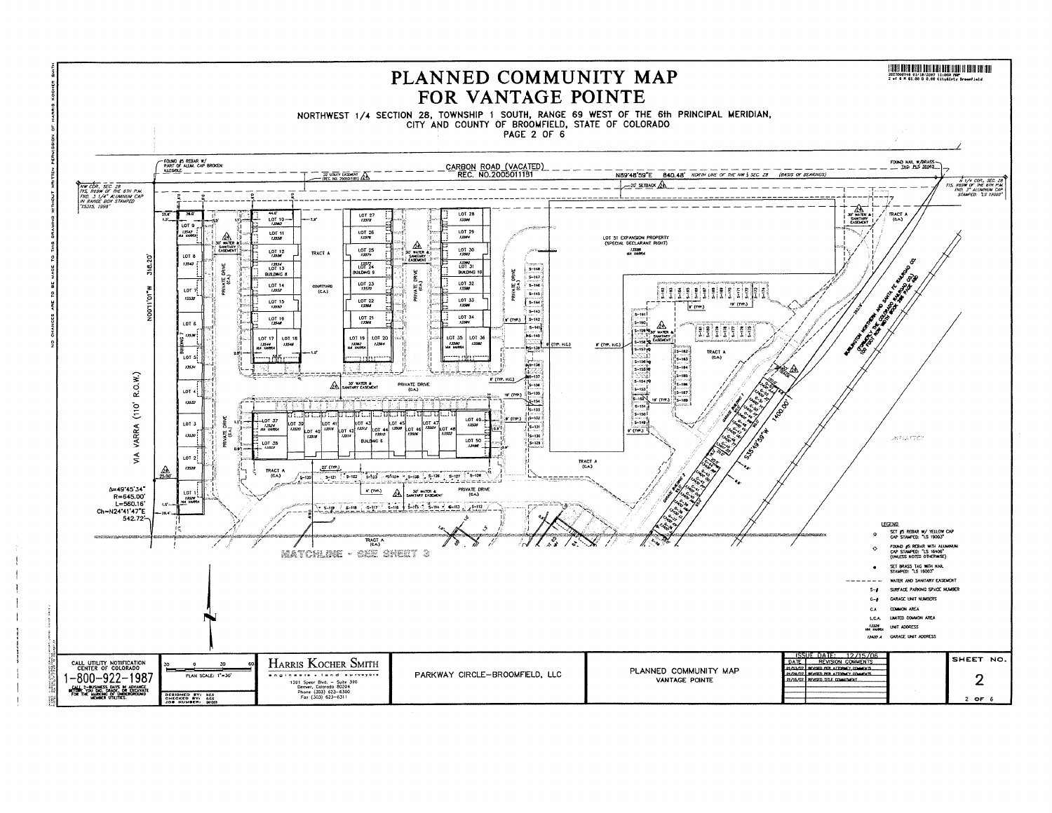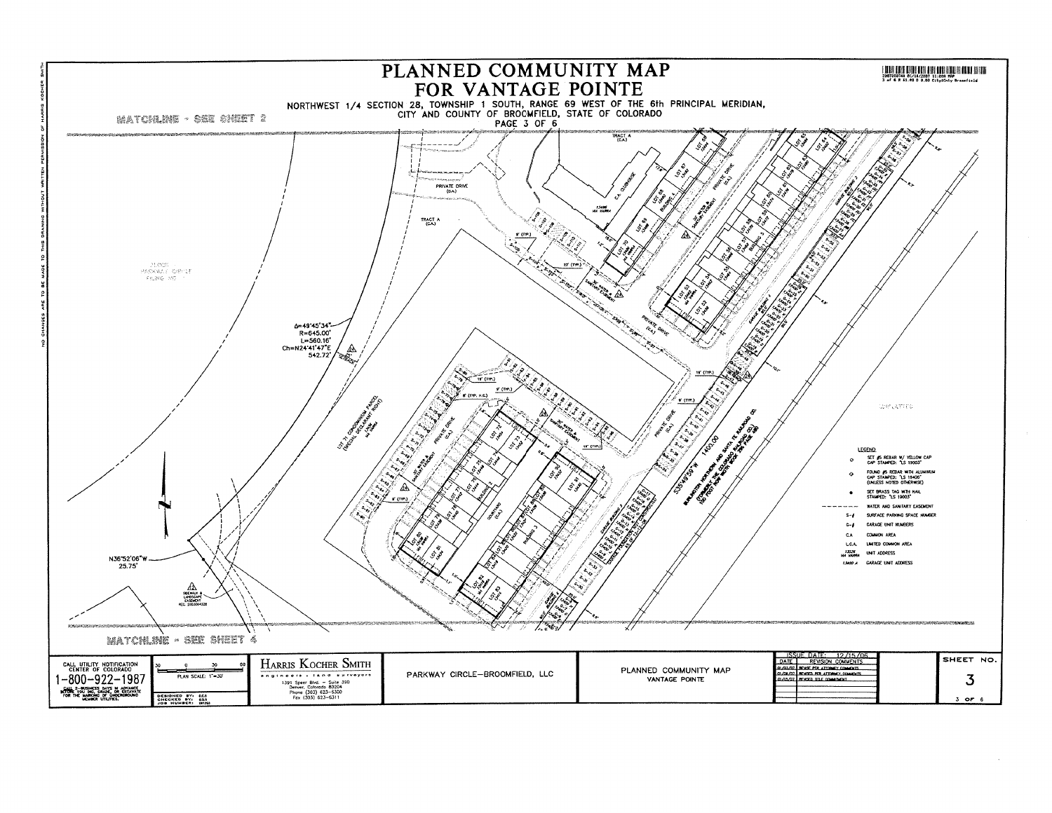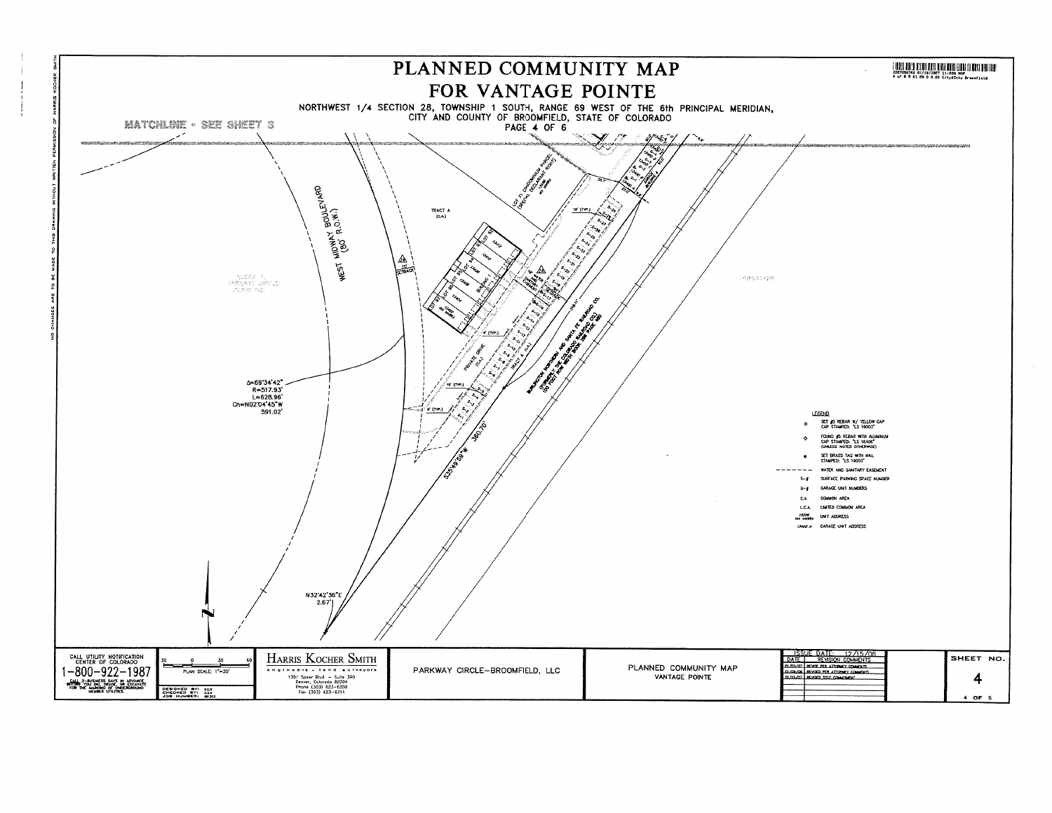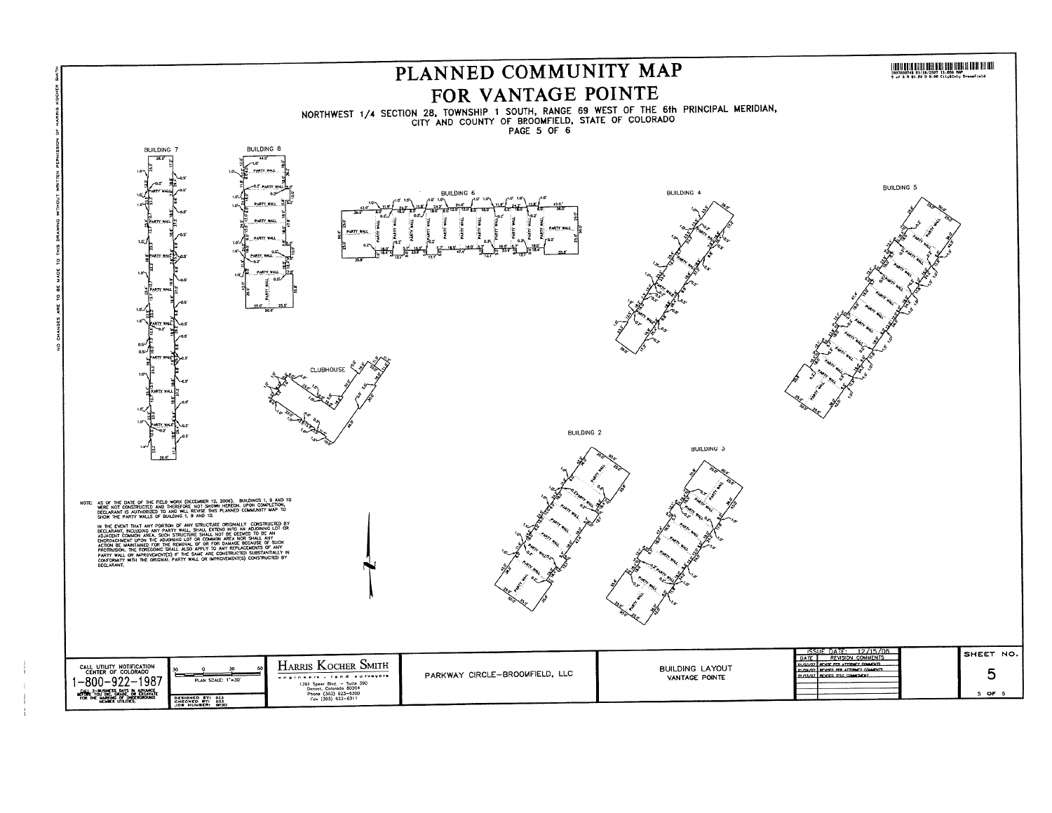